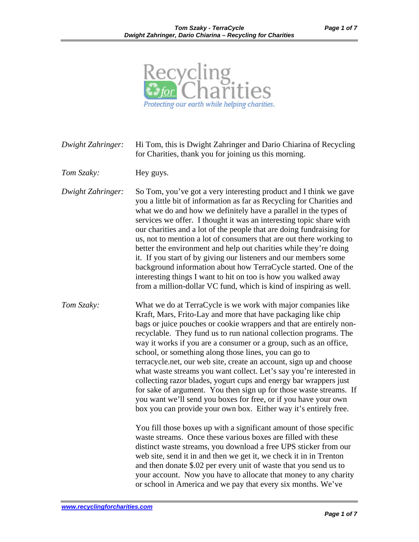

*Dwight Zahringer:* Hi Tom, this is Dwight Zahringer and Dario Chiarina of Recycling for Charities, thank you for joining us this morning.

*Tom Szaky:* Hey guys.

*Dwight Zahringer:* So Tom, you've got a very interesting product and I think we gave you a little bit of information as far as Recycling for Charities and what we do and how we definitely have a parallel in the types of services we offer. I thought it was an interesting topic share with our charities and a lot of the people that are doing fundraising for us, not to mention a lot of consumers that are out there working to better the environment and help out charities while they're doing it. If you start of by giving our listeners and our members some background information about how TerraCycle started. One of the interesting things I want to hit on too is how you walked away from a million-dollar VC fund, which is kind of inspiring as well.

*Tom Szaky:* What we do at TerraCycle is we work with major companies like Kraft, Mars, Frito-Lay and more that have packaging like chip bags or juice pouches or cookie wrappers and that are entirely nonrecyclable. They fund us to run national collection programs. The way it works if you are a consumer or a group, such as an office, school, or something along those lines, you can go to terracycle.net, our web site, create an account, sign up and choose what waste streams you want collect. Let's say you're interested in collecting razor blades, yogurt cups and energy bar wrappers just for sake of argument. You then sign up for those waste streams. If you want we'll send you boxes for free, or if you have your own box you can provide your own box. Either way it's entirely free.

> You fill those boxes up with a significant amount of those specific waste streams. Once these various boxes are filled with these distinct waste streams, you download a free UPS sticker from our web site, send it in and then we get it, we check it in in Trenton and then donate \$.02 per every unit of waste that you send us to your account. Now you have to allocate that money to any charity or school in America and we pay that every six months. We've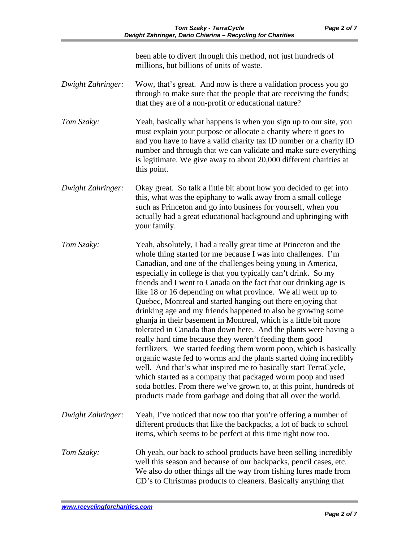been able to divert through this method, not just hundreds of millions, but billions of units of waste.

- *Dwight Zahringer:* Wow, that's great. And now is there a validation process you go through to make sure that the people that are receiving the funds; that they are of a non-profit or educational nature?
- *Tom Szaky:* Yeah, basically what happens is when you sign up to our site, you must explain your purpose or allocate a charity where it goes to and you have to have a valid charity tax ID number or a charity ID number and through that we can validate and make sure everything is legitimate. We give away to about 20,000 different charities at this point.
- *Dwight Zahringer:* Okay great. So talk a little bit about how you decided to get into this, what was the epiphany to walk away from a small college such as Princeton and go into business for yourself, when you actually had a great educational background and upbringing with your family.
- *Tom Szaky:* Yeah, absolutely, I had a really great time at Princeton and the whole thing started for me because I was into challenges. I'm Canadian, and one of the challenges being young in America, especially in college is that you typically can't drink. So my friends and I went to Canada on the fact that our drinking age is like 18 or 16 depending on what province. We all went up to Quebec, Montreal and started hanging out there enjoying that drinking age and my friends happened to also be growing some ghanja in their basement in Montreal, which is a little bit more tolerated in Canada than down here. And the plants were having a really hard time because they weren't feeding them good fertilizers. We started feeding them worm poop, which is basically organic waste fed to worms and the plants started doing incredibly well. And that's what inspired me to basically start TerraCycle, which started as a company that packaged worm poop and used soda bottles. From there we've grown to, at this point, hundreds of products made from garbage and doing that all over the world.
- *Dwight Zahringer:* Yeah, I've noticed that now too that you're offering a number of different products that like the backpacks, a lot of back to school items, which seems to be perfect at this time right now too.
- *Tom Szaky:* Oh yeah, our back to school products have been selling incredibly well this season and because of our backpacks, pencil cases, etc. We also do other things all the way from fishing lures made from CD's to Christmas products to cleaners. Basically anything that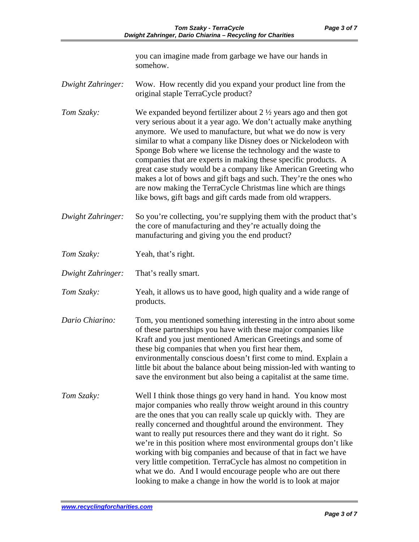you can imagine made from garbage we have our hands in somehow.

- *Dwight Zahringer:* Wow. How recently did you expand your product line from the original staple TerraCycle product?
- *Tom Szaky:* We expanded beyond fertilizer about 2 <sup>1</sup>/<sub>2</sub> years ago and then got very serious about it a year ago. We don't actually make anything anymore. We used to manufacture, but what we do now is very similar to what a company like Disney does or Nickelodeon with Sponge Bob where we license the technology and the waste to companies that are experts in making these specific products. A great case study would be a company like American Greeting who makes a lot of bows and gift bags and such. They're the ones who are now making the TerraCycle Christmas line which are things like bows, gift bags and gift cards made from old wrappers.
- *Dwight Zahringer:* So you're collecting, you're supplying them with the product that's the core of manufacturing and they're actually doing the manufacturing and giving you the end product?
- *Tom Szaky:* Yeah, that's right.
- *Dwight Zahringer:* That's really smart.
- *Tom Szaky:* Yeah, it allows us to have good, high quality and a wide range of products.
- *Dario Chiarino:* Tom, you mentioned something interesting in the intro about some of these partnerships you have with these major companies like Kraft and you just mentioned American Greetings and some of these big companies that when you first hear them, environmentally conscious doesn't first come to mind. Explain a little bit about the balance about being mission-led with wanting to save the environment but also being a capitalist at the same time.
- *Tom Szaky:* Well I think those things go very hand in hand. You know most major companies who really throw weight around in this country are the ones that you can really scale up quickly with. They are really concerned and thoughtful around the environment. They want to really put resources there and they want do it right. So we're in this position where most environmental groups don't like working with big companies and because of that in fact we have very little competition. TerraCycle has almost no competition in what we do. And I would encourage people who are out there looking to make a change in how the world is to look at major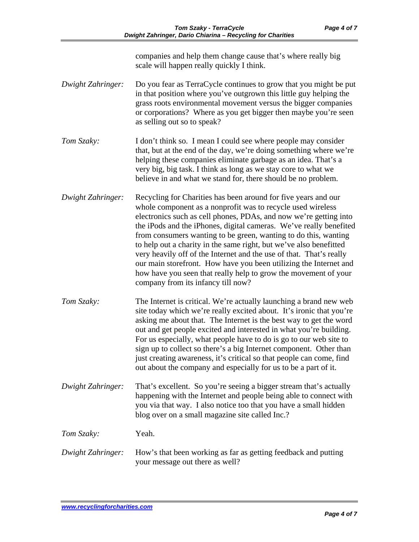|                   | companies and help them change cause that's where really big<br>scale will happen really quickly I think.                                                                                                                                                                                                                                                                                                                                                                                                                                                                                                                                                              |
|-------------------|------------------------------------------------------------------------------------------------------------------------------------------------------------------------------------------------------------------------------------------------------------------------------------------------------------------------------------------------------------------------------------------------------------------------------------------------------------------------------------------------------------------------------------------------------------------------------------------------------------------------------------------------------------------------|
| Dwight Zahringer: | Do you fear as TerraCycle continues to grow that you might be put<br>in that position where you've outgrown this little guy helping the<br>grass roots environmental movement versus the bigger companies<br>or corporations? Where as you get bigger then maybe you're seen<br>as selling out so to speak?                                                                                                                                                                                                                                                                                                                                                            |
| Tom Szaky:        | I don't think so. I mean I could see where people may consider<br>that, but at the end of the day, we're doing something where we're<br>helping these companies eliminate garbage as an idea. That's a<br>very big, big task. I think as long as we stay core to what we<br>believe in and what we stand for, there should be no problem.                                                                                                                                                                                                                                                                                                                              |
| Dwight Zahringer: | Recycling for Charities has been around for five years and our<br>whole component as a nonprofit was to recycle used wireless<br>electronics such as cell phones, PDAs, and now we're getting into<br>the iPods and the iPhones, digital cameras. We've really benefited<br>from consumers wanting to be green, wanting to do this, wanting<br>to help out a charity in the same right, but we've also benefitted<br>very heavily off of the Internet and the use of that. That's really<br>our main storefront. How have you been utilizing the Internet and<br>how have you seen that really help to grow the movement of your<br>company from its infancy till now? |
| Tom Szaky:        | The Internet is critical. We're actually launching a brand new web<br>site today which we're really excited about. It's ironic that you're<br>asking me about that. The Internet is the best way to get the word<br>out and get people excited and interested in what you're building.<br>For us especially, what people have to do is go to our web site to<br>sign up to collect so there's a big Internet component. Other than<br>just creating awareness, it's critical so that people can come, find<br>out about the company and especially for us to be a part of it.                                                                                          |
| Dwight Zahringer: | That's excellent. So you're seeing a bigger stream that's actually<br>happening with the Internet and people being able to connect with<br>you via that way. I also notice too that you have a small hidden<br>blog over on a small magazine site called Inc.?                                                                                                                                                                                                                                                                                                                                                                                                         |
| Tom Szaky:        | Yeah.                                                                                                                                                                                                                                                                                                                                                                                                                                                                                                                                                                                                                                                                  |
| Dwight Zahringer: | How's that been working as far as getting feedback and putting<br>your message out there as well?                                                                                                                                                                                                                                                                                                                                                                                                                                                                                                                                                                      |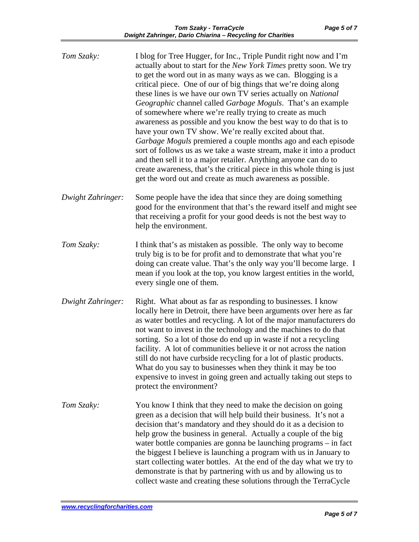| Tom Szaky:        | I blog for Tree Hugger, for Inc., Triple Pundit right now and I'm<br>actually about to start for the New York Times pretty soon. We try<br>to get the word out in as many ways as we can. Blogging is a<br>critical piece. One of our of big things that we're doing along<br>these lines is we have our own TV series actually on National<br>Geographic channel called Garbage Moguls. That's an example<br>of somewhere where we're really trying to create as much<br>awareness as possible and you know the best way to do that is to<br>have your own TV show. We're really excited about that.<br>Garbage Moguls premiered a couple months ago and each episode<br>sort of follows us as we take a waste stream, make it into a product<br>and then sell it to a major retailer. Anything anyone can do to<br>create awareness, that's the critical piece in this whole thing is just<br>get the word out and create as much awareness as possible. |
|-------------------|------------------------------------------------------------------------------------------------------------------------------------------------------------------------------------------------------------------------------------------------------------------------------------------------------------------------------------------------------------------------------------------------------------------------------------------------------------------------------------------------------------------------------------------------------------------------------------------------------------------------------------------------------------------------------------------------------------------------------------------------------------------------------------------------------------------------------------------------------------------------------------------------------------------------------------------------------------|
| Dwight Zahringer: | Some people have the idea that since they are doing something<br>good for the environment that that's the reward itself and might see<br>that receiving a profit for your good deeds is not the best way to<br>help the environment.                                                                                                                                                                                                                                                                                                                                                                                                                                                                                                                                                                                                                                                                                                                       |
| Tom Szaky:        | I think that's as mistaken as possible. The only way to become<br>truly big is to be for profit and to demonstrate that what you're<br>doing can create value. That's the only way you'll become large. I<br>mean if you look at the top, you know largest entities in the world,<br>every single one of them.                                                                                                                                                                                                                                                                                                                                                                                                                                                                                                                                                                                                                                             |
| Dwight Zahringer: | Right. What about as far as responding to businesses. I know<br>locally here in Detroit, there have been arguments over here as far<br>as water bottles and recycling. A lot of the major manufacturers do<br>not want to invest in the technology and the machines to do that<br>sorting. So a lot of those do end up in waste if not a recycling<br>facility. A lot of communities believe it or not across the nation<br>still do not have curbside recycling for a lot of plastic products.<br>What do you say to businesses when they think it may be too<br>expensive to invest in going green and actually taking out steps to<br>protect the environment?                                                                                                                                                                                                                                                                                          |
| Tom Szaky:        | You know I think that they need to make the decision on going<br>green as a decision that will help build their business. It's not a<br>decision that's mandatory and they should do it as a decision to<br>help grow the business in general. Actually a couple of the big<br>water bottle companies are gonna be launching programs – in fact<br>the biggest I believe is launching a program with us in January to<br>start collecting water bottles. At the end of the day what we try to<br>demonstrate is that by partnering with us and by allowing us to<br>collect waste and creating these solutions through the TerraCycle                                                                                                                                                                                                                                                                                                                      |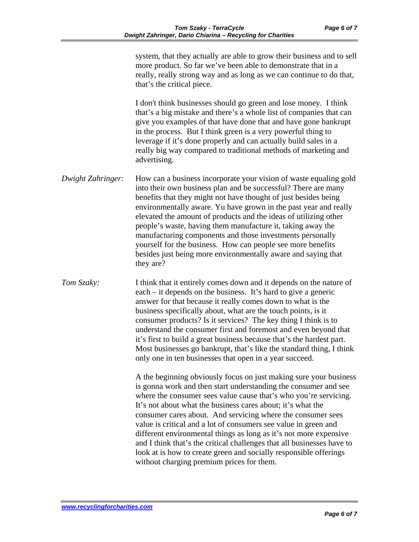| Page 6 of 7 |  |
|-------------|--|
|-------------|--|

|                   | system, that they actually are able to grow their business and to sell<br>more product. So far we've been able to demonstrate that in a<br>really, really strong way and as long as we can continue to do that,<br>that's the critical piece.                                                                                                                                                                                                                                                                                                                                                                           |
|-------------------|-------------------------------------------------------------------------------------------------------------------------------------------------------------------------------------------------------------------------------------------------------------------------------------------------------------------------------------------------------------------------------------------------------------------------------------------------------------------------------------------------------------------------------------------------------------------------------------------------------------------------|
|                   | I don't think businesses should go green and lose money. I think<br>that's a big mistake and there's a whole list of companies that can<br>give you examples of that have done that and have gone bankrupt<br>in the process. But I think green is a very powerful thing to<br>leverage if it's done properly and can actually build sales in a<br>really big way compared to traditional methods of marketing and<br>advertising.                                                                                                                                                                                      |
| Dwight Zahringer: | How can a business incorporate your vision of waste equaling gold<br>into their own business plan and be successful? There are many<br>benefits that they might not have thought of just besides being<br>environmentally aware. Yu have grown in the past year and really<br>elevated the amount of products and the ideas of utilizing other<br>people's waste, having them manufacture it, taking away the<br>manufacturing components and those investments personally<br>yourself for the business. How can people see more benefits<br>besides just being more environmentally aware and saying that<br>they are? |
| Tom Szaky:        | I think that it entirely comes down and it depends on the nature of<br>each – it depends on the business. It's hard to give a generic<br>answer for that because it really comes down to what is the<br>business specifically about, what are the touch points, is it<br>consumer products? Is it services? The key thing I think is to<br>understand the consumer first and foremost and even beyond that<br>it's first to build a great business because that's the hardest part.<br>Most businesses go bankrupt, that's like the standard thing, I think<br>only one in ten businesses that open in a year succeed.  |
|                   | A the beginning obviously focus on just making sure your business<br>is gonna work and then start understanding the consumer and see<br>where the consumer sees value cause that's who you're servicing.<br>It's not about what the business cares about; it's what the<br>consumer cares about. And servicing where the consumer sees<br>value is critical and a lot of consumers see value in green and                                                                                                                                                                                                               |

different environmental things as long as it's not more expensive and I think that's the critical challenges that all businesses have to look at is how to create green and socially responsible offerings without charging premium prices for them.